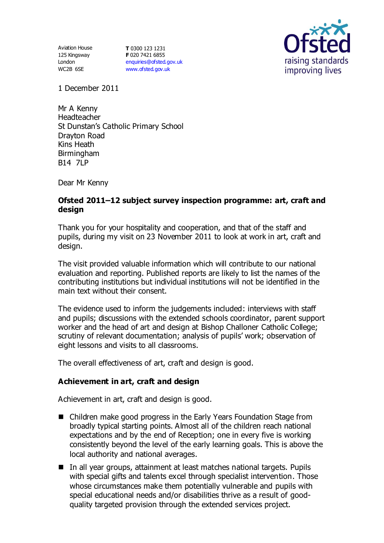Aviation House 125 Kingsway London WC2B 6SE

**T** 0300 123 1231 **F** 020 7421 6855 [enquiries@ofsted.gov.uk](mailto:enquiries@ofsted.gov.uk) [www.ofsted.gov.uk](http://www.ofsted.gov.uk/)



1 December 2011

Mr A Kenny Headteacher St Dunstan's Catholic Primary School Drayton Road Kins Heath **Birmingham B14 7LP** 

Dear Mr Kenny

# **Ofsted 2011–12 subject survey inspection programme: art, craft and design**

Thank you for your hospitality and cooperation, and that of the staff and pupils, during my visit on 23 November 2011 to look at work in art, craft and design.

The visit provided valuable information which will contribute to our national evaluation and reporting. Published reports are likely to list the names of the contributing institutions but individual institutions will not be identified in the main text without their consent.

The evidence used to inform the judgements included: interviews with staff and pupils; discussions with the extended schools coordinator, parent support worker and the head of art and design at Bishop Challoner Catholic College; scrutiny of relevant documentation; analysis of pupils' work; observation of eight lessons and visits to all classrooms.

The overall effectiveness of art, craft and design is good.

# **Achievement in art, craft and design**

Achievement in art, craft and design is good.

- Children make good progress in the Early Years Foundation Stage from broadly typical starting points. Almost all of the children reach national expectations and by the end of Reception; one in every five is working consistently beyond the level of the early learning goals. This is above the local authority and national averages.
- In all year groups, attainment at least matches national targets. Pupils with special gifts and talents excel through specialist intervention. Those whose circumstances make them potentially vulnerable and pupils with special educational needs and/or disabilities thrive as a result of goodquality targeted provision through the extended services project.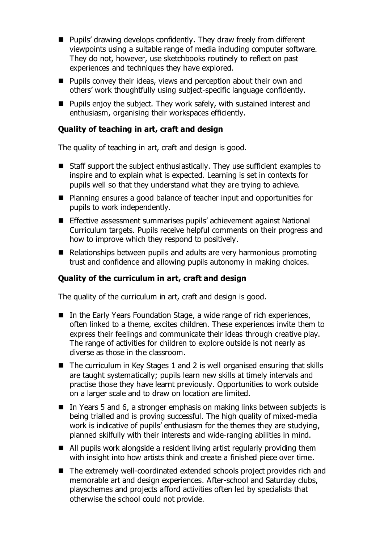- Pupils' drawing develops confidently. They draw freely from different viewpoints using a suitable range of media including computer software. They do not, however, use sketchbooks routinely to reflect on past experiences and techniques they have explored.
- Pupils convey their ideas, views and perception about their own and others' work thoughtfully using subject-specific language confidently.
- Pupils enjoy the subject. They work safely, with sustained interest and enthusiasm, organising their workspaces efficiently.

# **Quality of teaching in art, craft and design**

The quality of teaching in art, craft and design is good.

- Staff support the subject enthusiastically. They use sufficient examples to inspire and to explain what is expected. Learning is set in contexts for pupils well so that they understand what they are trying to achieve.
- Planning ensures a good balance of teacher input and opportunities for pupils to work independently.
- Effective assessment summarises pupils' achievement against National Curriculum targets. Pupils receive helpful comments on their progress and how to improve which they respond to positively.
- Relationships between pupils and adults are very harmonious promoting trust and confidence and allowing pupils autonomy in making choices.

# **Quality of the curriculum in art, craft and design**

The quality of the curriculum in art, craft and design is good.

- In the Early Years Foundation Stage, a wide range of rich experiences, often linked to a theme, excites children. These experiences invite them to express their feelings and communicate their ideas through creative play. The range of activities for children to explore outside is not nearly as diverse as those in the classroom.
- The curriculum in Key Stages 1 and 2 is well organised ensuring that skills are taught systematically; pupils learn new skills at timely intervals and practise those they have learnt previously. Opportunities to work outside on a larger scale and to draw on location are limited.
- In Years 5 and 6, a stronger emphasis on making links between subjects is being trialled and is proving successful. The high quality of mixed-media work is indicative of pupils' enthusiasm for the themes they are studying, planned skilfully with their interests and wide-ranging abilities in mind.
- All pupils work alongside a resident living artist regularly providing them with insight into how artists think and create a finished piece over time.
- The extremely well-coordinated extended schools project provides rich and memorable art and design experiences. After-school and Saturday clubs, playschemes and projects afford activities often led by specialists that otherwise the school could not provide.